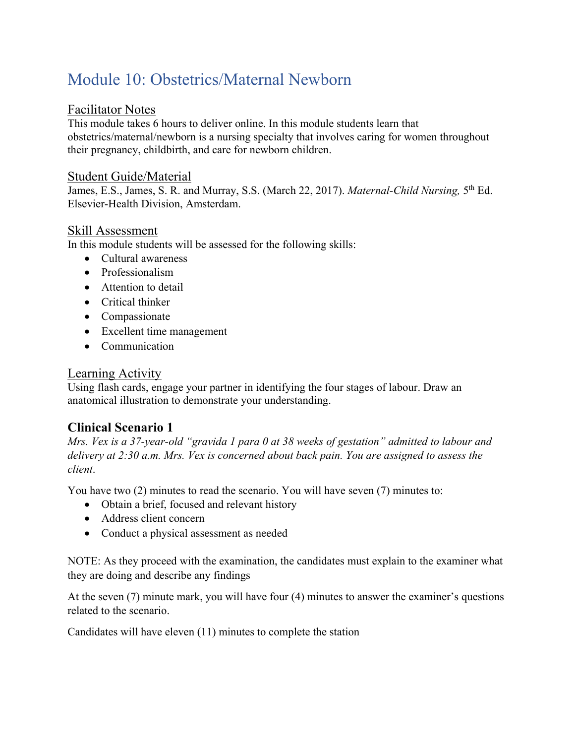# Module 10: Obstetrics/Maternal Newborn

### Facilitator Notes

This module takes 6 hours to deliver online. In this module students learn that obstetrics/maternal/newborn is a nursing specialty that involves caring for women throughout their pregnancy, childbirth, and care for newborn children.

#### Student Guide/Material

James, E.S., James, S. R. and Murray, S.S. (March 22, 2017). *Maternal-Child Nursing*, 5<sup>th</sup> Ed. Elsevier-Health Division, Amsterdam.

### Skill Assessment

In this module students will be assessed for the following skills:

- Cultural awareness
- Professionalism
- Attention to detail
- Critical thinker
- Compassionate
- Excellent time management
- Communication

### Learning Activity

Using flash cards, engage your partner in identifying the four stages of labour. Draw an anatomical illustration to demonstrate your understanding.

## **Clinical Scenario 1**

*Mrs. Vex is a 37-year-old "gravida 1 para 0 at 38 weeks of gestation" admitted to labour and delivery at 2:30 a.m. Mrs. Vex is concerned about back pain. You are assigned to assess the client*.

You have two (2) minutes to read the scenario. You will have seven (7) minutes to:

- Obtain a brief, focused and relevant history
- Address client concern
- Conduct a physical assessment as needed

NOTE: As they proceed with the examination, the candidates must explain to the examiner what they are doing and describe any findings

At the seven (7) minute mark, you will have four (4) minutes to answer the examiner's questions related to the scenario.

Candidates will have eleven (11) minutes to complete the station